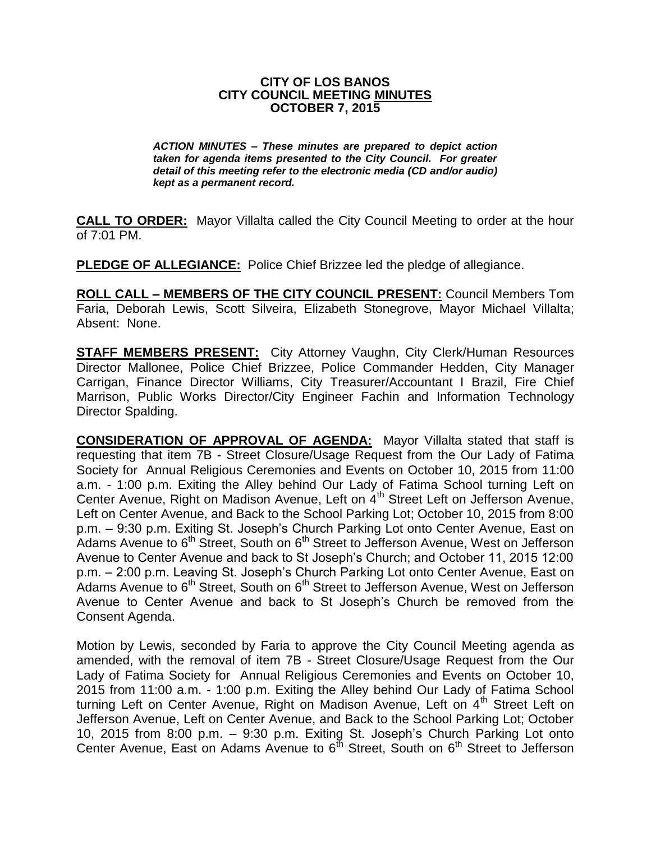### **CITY OF LOS BANOS CITY COUNCIL MEETING MINUTES OCTOBER 7, 2015**

*ACTION MINUTES – These minutes are prepared to depict action taken for agenda items presented to the City Council. For greater detail of this meeting refer to the electronic media (CD and/or audio) kept as a permanent record.*

**CALL TO ORDER:** Mayor Villalta called the City Council Meeting to order at the hour of 7:01 PM.

**PLEDGE OF ALLEGIANCE:** Police Chief Brizzee led the pledge of allegiance.

**ROLL CALL – MEMBERS OF THE CITY COUNCIL PRESENT:** Council Members Tom Faria, Deborah Lewis, Scott Silveira, Elizabeth Stonegrove, Mayor Michael Villalta; Absent: None.

**STAFF MEMBERS PRESENT:** City Attorney Vaughn, City Clerk/Human Resources Director Mallonee, Police Chief Brizzee, Police Commander Hedden, City Manager Carrigan, Finance Director Williams, City Treasurer/Accountant I Brazil, Fire Chief Marrison, Public Works Director/City Engineer Fachin and Information Technology Director Spalding.

**CONSIDERATION OF APPROVAL OF AGENDA:** Mayor Villalta stated that staff is requesting that item 7B - Street Closure/Usage Request from the Our Lady of Fatima Society for Annual Religious Ceremonies and Events on October 10, 2015 from 11:00 a.m. - 1:00 p.m. Exiting the Alley behind Our Lady of Fatima School turning Left on Center Avenue, Right on Madison Avenue, Left on 4th Street Left on Jefferson Avenue, Left on Center Avenue, and Back to the School Parking Lot; October 10, 2015 from 8:00 p.m. – 9:30 p.m. Exiting St. Joseph's Church Parking Lot onto Center Avenue, East on Adams Avenue to 6<sup>th</sup> Street, South on 6<sup>th</sup> Street to Jefferson Avenue, West on Jefferson Avenue to Center Avenue and back to St Joseph's Church; and October 11, 2015 12:00 p.m. – 2:00 p.m. Leaving St. Joseph's Church Parking Lot onto Center Avenue, East on Adams Avenue to 6<sup>th</sup> Street, South on 6<sup>th</sup> Street to Jefferson Avenue, West on Jefferson Avenue to Center Avenue and back to St Joseph's Church be removed from the Consent Agenda.

Motion by Lewis, seconded by Faria to approve the City Council Meeting agenda as amended, with the removal of item 7B - Street Closure/Usage Request from the Our Lady of Fatima Society for Annual Religious Ceremonies and Events on October 10, 2015 from 11:00 a.m. - 1:00 p.m. Exiting the Alley behind Our Lady of Fatima School turning Left on Center Avenue, Right on Madison Avenue, Left on 4<sup>th</sup> Street Left on Jefferson Avenue, Left on Center Avenue, and Back to the School Parking Lot; October 10, 2015 from 8:00 p.m. – 9:30 p.m. Exiting St. Joseph's Church Parking Lot onto Center Avenue, East on Adams Avenue to  $6<sup>th</sup>$  Street, South on  $6<sup>th</sup>$  Street to Jefferson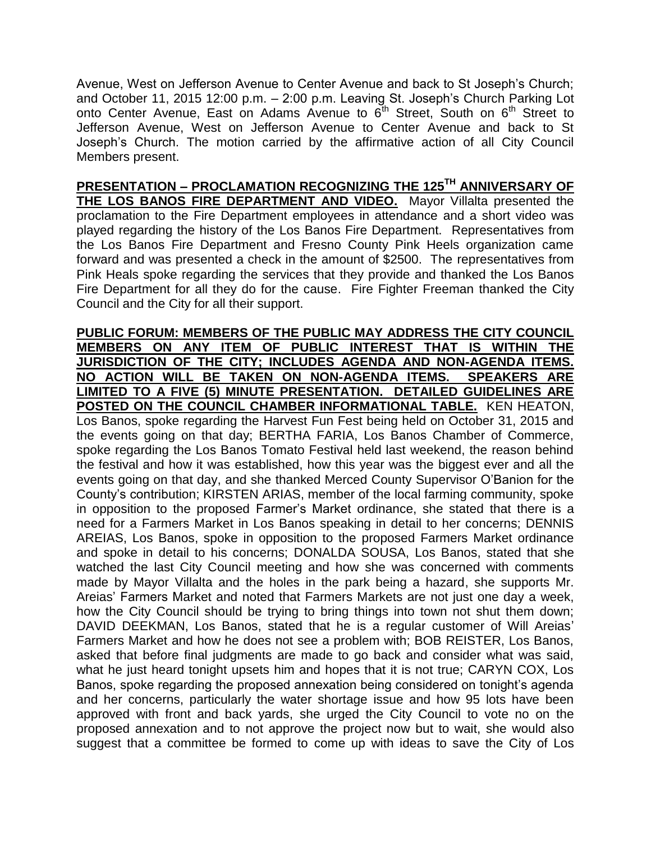Avenue, West on Jefferson Avenue to Center Avenue and back to St Joseph's Church; and October 11, 2015 12:00 p.m. – 2:00 p.m. Leaving St. Joseph's Church Parking Lot onto Center Avenue, East on Adams Avenue to  $6<sup>th</sup>$  Street, South on  $6<sup>th</sup>$  Street to Jefferson Avenue, West on Jefferson Avenue to Center Avenue and back to St Joseph's Church. The motion carried by the affirmative action of all City Council Members present.

**PRESENTATION – PROCLAMATION RECOGNIZING THE 125TH ANNIVERSARY OF THE LOS BANOS FIRE DEPARTMENT AND VIDEO.** Mayor Villalta presented the proclamation to the Fire Department employees in attendance and a short video was played regarding the history of the Los Banos Fire Department. Representatives from the Los Banos Fire Department and Fresno County Pink Heels organization came forward and was presented a check in the amount of \$2500. The representatives from Pink Heals spoke regarding the services that they provide and thanked the Los Banos Fire Department for all they do for the cause. Fire Fighter Freeman thanked the City Council and the City for all their support.

**PUBLIC FORUM: MEMBERS OF THE PUBLIC MAY ADDRESS THE CITY COUNCIL MEMBERS ON ANY ITEM OF PUBLIC INTEREST THAT IS WITHIN THE JURISDICTION OF THE CITY; INCLUDES AGENDA AND NON-AGENDA ITEMS. NO ACTION WILL BE TAKEN ON NON-AGENDA ITEMS. SPEAKERS ARE LIMITED TO A FIVE (5) MINUTE PRESENTATION. DETAILED GUIDELINES ARE POSTED ON THE COUNCIL CHAMBER INFORMATIONAL TABLE.** KEN HEATON, Los Banos, spoke regarding the Harvest Fun Fest being held on October 31, 2015 and the events going on that day; BERTHA FARIA, Los Banos Chamber of Commerce, spoke regarding the Los Banos Tomato Festival held last weekend, the reason behind the festival and how it was established, how this year was the biggest ever and all the events going on that day, and she thanked Merced County Supervisor O'Banion for the County's contribution; KIRSTEN ARIAS, member of the local farming community, spoke in opposition to the proposed Farmer's Market ordinance, she stated that there is a need for a Farmers Market in Los Banos speaking in detail to her concerns; DENNIS AREIAS, Los Banos, spoke in opposition to the proposed Farmers Market ordinance and spoke in detail to his concerns; DONALDA SOUSA, Los Banos, stated that she watched the last City Council meeting and how she was concerned with comments made by Mayor Villalta and the holes in the park being a hazard, she supports Mr. Areias' Farmers Market and noted that Farmers Markets are not just one day a week, how the City Council should be trying to bring things into town not shut them down; DAVID DEEKMAN, Los Banos, stated that he is a regular customer of Will Areias' Farmers Market and how he does not see a problem with; BOB REISTER, Los Banos, asked that before final judgments are made to go back and consider what was said, what he just heard tonight upsets him and hopes that it is not true; CARYN COX, Los Banos, spoke regarding the proposed annexation being considered on tonight's agenda and her concerns, particularly the water shortage issue and how 95 lots have been approved with front and back yards, she urged the City Council to vote no on the proposed annexation and to not approve the project now but to wait, she would also suggest that a committee be formed to come up with ideas to save the City of Los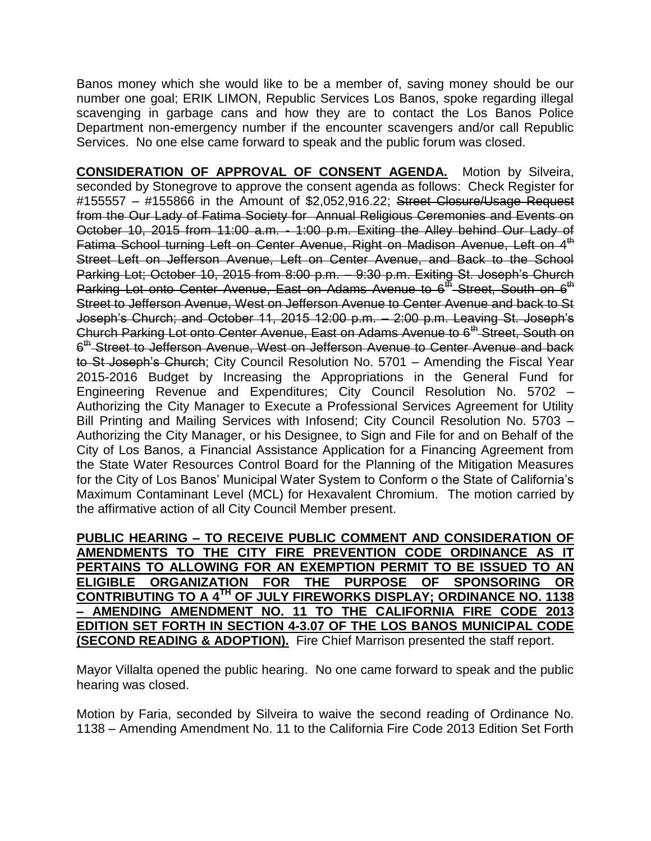Banos money which she would like to be a member of, saving money should be our number one goal; ERIK LIMON, Republic Services Los Banos, spoke regarding illegal scavenging in garbage cans and how they are to contact the Los Banos Police Department non-emergency number if the encounter scavengers and/or call Republic Services. No one else came forward to speak and the public forum was closed.

**CONSIDERATION OF APPROVAL OF CONSENT AGENDA.** Motion by Silveira, seconded by Stonegrove to approve the consent agenda as follows: Check Register for #155557 - #155866 in the Amount of \$2,052,916.22; Street Closure/Usage Request from the Our Lady of Fatima Society for Annual Religious Ceremonies and Events on October 10, 2015 from 11:00 a.m. - 1:00 p.m. Exiting the Alley behind Our Lady of Fatima School turning Left on Center Avenue, Right on Madison Avenue, Left on 4<sup>th</sup> Street Left on Jefferson Avenue, Left on Center Avenue, and Back to the School Parking Lot; October 10, 2015 from 8:00 p.m. – 9:30 p.m. Exiting St. Joseph's Church Parking Lot onto Center Avenue, East on Adams Avenue to 6<sup>th</sup> Street, South on 6<sup>th</sup> Street to Jefferson Avenue, West on Jefferson Avenue to Center Avenue and back to St Joseph's Church; and October 11, 2015 12:00 p.m. – 2:00 p.m. Leaving St. Joseph's Church Parking Lot onto Center Avenue, East on Adams Avenue to 6<sup>th</sup> Street, South on 6<sup>th</sup> Street to Jefferson Avenue, West on Jefferson Avenue to Center Avenue and back to St Joseph's Church; City Council Resolution No. 5701 – Amending the Fiscal Year 2015-2016 Budget by Increasing the Appropriations in the General Fund for Engineering Revenue and Expenditures; City Council Resolution No. 5702 – Authorizing the City Manager to Execute a Professional Services Agreement for Utility Bill Printing and Mailing Services with Infosend; City Council Resolution No. 5703 – Authorizing the City Manager, or his Designee, to Sign and File for and on Behalf of the City of Los Banos, a Financial Assistance Application for a Financing Agreement from the State Water Resources Control Board for the Planning of the Mitigation Measures for the City of Los Banos' Municipal Water System to Conform o the State of California's Maximum Contaminant Level (MCL) for Hexavalent Chromium. The motion carried by the affirmative action of all City Council Member present.

**PUBLIC HEARING – TO RECEIVE PUBLIC COMMENT AND CONSIDERATION OF AMENDMENTS TO THE CITY FIRE PREVENTION CODE ORDINANCE AS IT PERTAINS TO ALLOWING FOR AN EXEMPTION PERMIT TO BE ISSUED TO AN ELIGIBLE ORGANIZATION FOR THE PURPOSE OF SPONSORING OR CONTRIBUTING TO A 4TH OF JULY FIREWORKS DISPLAY; ORDINANCE NO. 1138 – AMENDING AMENDMENT NO. 11 TO THE CALIFORNIA FIRE CODE 2013 EDITION SET FORTH IN SECTION 4-3.07 OF THE LOS BANOS MUNICIPAL CODE (SECOND READING & ADOPTION).** Fire Chief Marrison presented the staff report.

Mayor Villalta opened the public hearing. No one came forward to speak and the public hearing was closed.

Motion by Faria, seconded by Silveira to waive the second reading of Ordinance No. 1138 – Amending Amendment No. 11 to the California Fire Code 2013 Edition Set Forth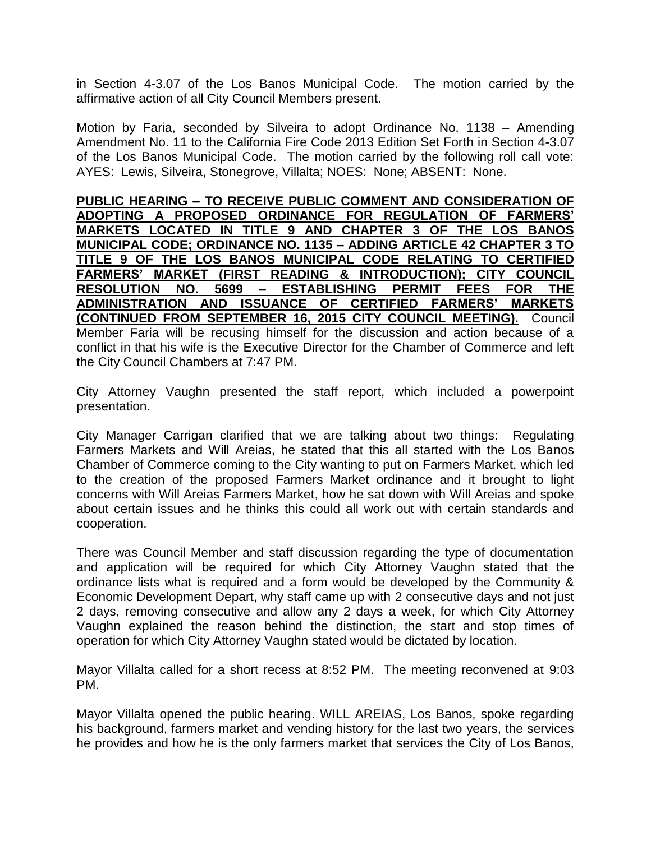in Section 4-3.07 of the Los Banos Municipal Code. The motion carried by the affirmative action of all City Council Members present.

Motion by Faria, seconded by Silveira to adopt Ordinance No. 1138 – Amending Amendment No. 11 to the California Fire Code 2013 Edition Set Forth in Section 4-3.07 of the Los Banos Municipal Code. The motion carried by the following roll call vote: AYES: Lewis, Silveira, Stonegrove, Villalta; NOES: None; ABSENT: None.

**PUBLIC HEARING – TO RECEIVE PUBLIC COMMENT AND CONSIDERATION OF ADOPTING A PROPOSED ORDINANCE FOR REGULATION OF FARMERS' MARKETS LOCATED IN TITLE 9 AND CHAPTER 3 OF THE LOS BANOS MUNICIPAL CODE; ORDINANCE NO. 1135 – ADDING ARTICLE 42 CHAPTER 3 TO TITLE 9 OF THE LOS BANOS MUNICIPAL CODE RELATING TO CERTIFIED FARMERS' MARKET (FIRST READING & INTRODUCTION); CITY COUNCIL RESOLUTION NO. 5699 – ESTABLISHING PERMIT FEES FOR THE ADMINISTRATION AND ISSUANCE OF CERTIFIED FARMERS' MARKETS (CONTINUED FROM SEPTEMBER 16, 2015 CITY COUNCIL MEETING).** Council Member Faria will be recusing himself for the discussion and action because of a conflict in that his wife is the Executive Director for the Chamber of Commerce and left the City Council Chambers at 7:47 PM.

City Attorney Vaughn presented the staff report, which included a powerpoint presentation.

City Manager Carrigan clarified that we are talking about two things: Regulating Farmers Markets and Will Areias, he stated that this all started with the Los Banos Chamber of Commerce coming to the City wanting to put on Farmers Market, which led to the creation of the proposed Farmers Market ordinance and it brought to light concerns with Will Areias Farmers Market, how he sat down with Will Areias and spoke about certain issues and he thinks this could all work out with certain standards and cooperation.

There was Council Member and staff discussion regarding the type of documentation and application will be required for which City Attorney Vaughn stated that the ordinance lists what is required and a form would be developed by the Community & Economic Development Depart, why staff came up with 2 consecutive days and not just 2 days, removing consecutive and allow any 2 days a week, for which City Attorney Vaughn explained the reason behind the distinction, the start and stop times of operation for which City Attorney Vaughn stated would be dictated by location.

Mayor Villalta called for a short recess at 8:52 PM. The meeting reconvened at 9:03 PM.

Mayor Villalta opened the public hearing. WILL AREIAS, Los Banos, spoke regarding his background, farmers market and vending history for the last two years, the services he provides and how he is the only farmers market that services the City of Los Banos,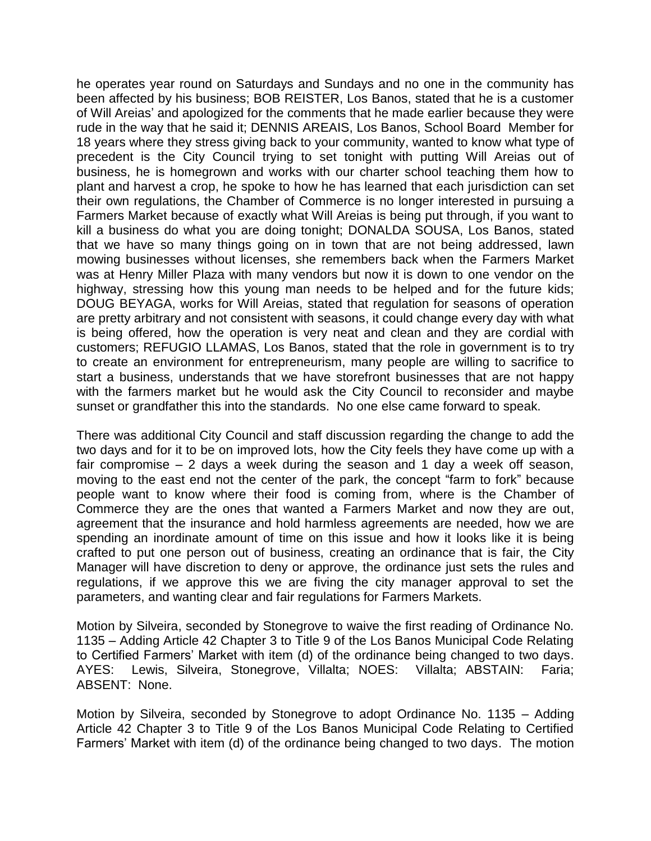he operates year round on Saturdays and Sundays and no one in the community has been affected by his business; BOB REISTER, Los Banos, stated that he is a customer of Will Areias' and apologized for the comments that he made earlier because they were rude in the way that he said it; DENNIS AREAIS, Los Banos, School Board Member for 18 years where they stress giving back to your community, wanted to know what type of precedent is the City Council trying to set tonight with putting Will Areias out of business, he is homegrown and works with our charter school teaching them how to plant and harvest a crop, he spoke to how he has learned that each jurisdiction can set their own regulations, the Chamber of Commerce is no longer interested in pursuing a Farmers Market because of exactly what Will Areias is being put through, if you want to kill a business do what you are doing tonight; DONALDA SOUSA, Los Banos, stated that we have so many things going on in town that are not being addressed, lawn mowing businesses without licenses, she remembers back when the Farmers Market was at Henry Miller Plaza with many vendors but now it is down to one vendor on the highway, stressing how this young man needs to be helped and for the future kids; DOUG BEYAGA, works for Will Areias, stated that regulation for seasons of operation are pretty arbitrary and not consistent with seasons, it could change every day with what is being offered, how the operation is very neat and clean and they are cordial with customers; REFUGIO LLAMAS, Los Banos, stated that the role in government is to try to create an environment for entrepreneurism, many people are willing to sacrifice to start a business, understands that we have storefront businesses that are not happy with the farmers market but he would ask the City Council to reconsider and maybe sunset or grandfather this into the standards. No one else came forward to speak.

There was additional City Council and staff discussion regarding the change to add the two days and for it to be on improved lots, how the City feels they have come up with a fair compromise – 2 days a week during the season and 1 day a week off season, moving to the east end not the center of the park, the concept "farm to fork" because people want to know where their food is coming from, where is the Chamber of Commerce they are the ones that wanted a Farmers Market and now they are out, agreement that the insurance and hold harmless agreements are needed, how we are spending an inordinate amount of time on this issue and how it looks like it is being crafted to put one person out of business, creating an ordinance that is fair, the City Manager will have discretion to deny or approve, the ordinance just sets the rules and regulations, if we approve this we are fiving the city manager approval to set the parameters, and wanting clear and fair regulations for Farmers Markets.

Motion by Silveira, seconded by Stonegrove to waive the first reading of Ordinance No. 1135 – Adding Article 42 Chapter 3 to Title 9 of the Los Banos Municipal Code Relating to Certified Farmers' Market with item (d) of the ordinance being changed to two days. AYES: Lewis, Silveira, Stonegrove, Villalta; NOES: Villalta; ABSTAIN: Faria; ABSENT: None.

Motion by Silveira, seconded by Stonegrove to adopt Ordinance No. 1135 – Adding Article 42 Chapter 3 to Title 9 of the Los Banos Municipal Code Relating to Certified Farmers' Market with item (d) of the ordinance being changed to two days. The motion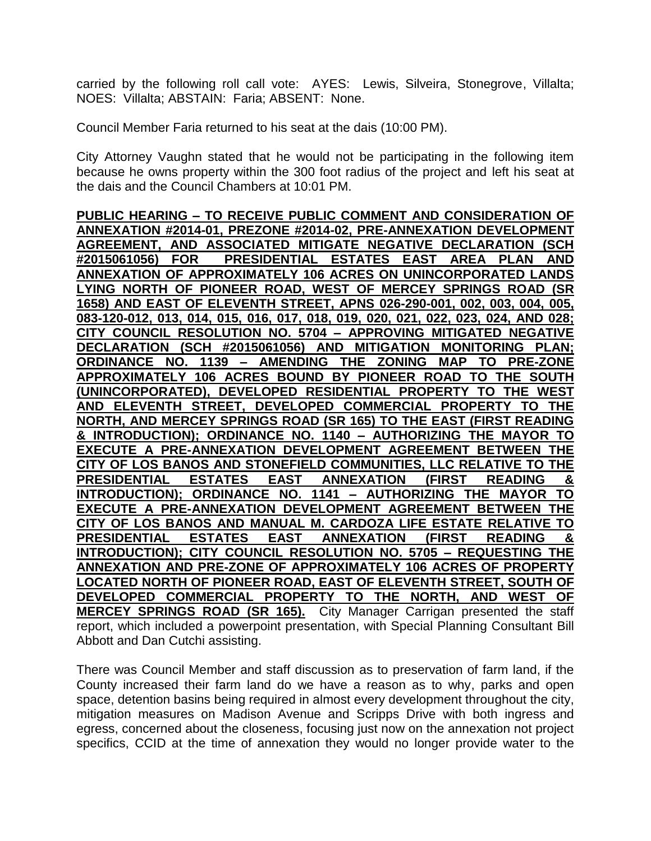carried by the following roll call vote: AYES: Lewis, Silveira, Stonegrove, Villalta; NOES: Villalta; ABSTAIN: Faria; ABSENT: None.

Council Member Faria returned to his seat at the dais (10:00 PM).

City Attorney Vaughn stated that he would not be participating in the following item because he owns property within the 300 foot radius of the project and left his seat at the dais and the Council Chambers at 10:01 PM.

**PUBLIC HEARING – TO RECEIVE PUBLIC COMMENT AND CONSIDERATION OF ANNEXATION #2014-01, PREZONE #2014-02, PRE-ANNEXATION DEVELOPMENT AGREEMENT, AND ASSOCIATED MITIGATE NEGATIVE DECLARATION (SCH #2015061056) FOR PRESIDENTIAL ESTATES EAST AREA PLAN AND ANNEXATION OF APPROXIMATELY 106 ACRES ON UNINCORPORATED LANDS LYING NORTH OF PIONEER ROAD, WEST OF MERCEY SPRINGS ROAD (SR 1658) AND EAST OF ELEVENTH STREET, APNS 026-290-001, 002, 003, 004, 005, 083-120-012, 013, 014, 015, 016, 017, 018, 019, 020, 021, 022, 023, 024, AND 028; CITY COUNCIL RESOLUTION NO. 5704 – APPROVING MITIGATED NEGATIVE DECLARATION (SCH #2015061056) AND MITIGATION MONITORING PLAN; ORDINANCE NO. 1139 – AMENDING THE ZONING MAP TO PRE-ZONE APPROXIMATELY 106 ACRES BOUND BY PIONEER ROAD TO THE SOUTH (UNINCORPORATED), DEVELOPED RESIDENTIAL PROPERTY TO THE WEST AND ELEVENTH STREET, DEVELOPED COMMERCIAL PROPERTY TO THE NORTH, AND MERCEY SPRINGS ROAD (SR 165) TO THE EAST (FIRST READING & INTRODUCTION); ORDINANCE NO. 1140 – AUTHORIZING THE MAYOR TO EXECUTE A PRE-ANNEXATION DEVELOPMENT AGREEMENT BETWEEN THE CITY OF LOS BANOS AND STONEFIELD COMMUNITIES, LLC RELATIVE TO THE PRESIDENTIAL ESTATES EAST ANNEXATION (FIRST READING & INTRODUCTION); ORDINANCE NO. 1141 – AUTHORIZING THE MAYOR TO EXECUTE A PRE-ANNEXATION DEVELOPMENT AGREEMENT BETWEEN THE CITY OF LOS BANOS AND MANUAL M. CARDOZA LIFE ESTATE RELATIVE TO PRESIDENTIAL ESTATES EAST ANNEXATION (FIRST READING & INTRODUCTION); CITY COUNCIL RESOLUTION NO. 5705 – REQUESTING THE ANNEXATION AND PRE-ZONE OF APPROXIMATELY 106 ACRES OF PROPERTY LOCATED NORTH OF PIONEER ROAD, EAST OF ELEVENTH STREET, SOUTH OF DEVELOPED COMMERCIAL PROPERTY TO THE NORTH, AND WEST OF MERCEY SPRINGS ROAD (SR 165).** City Manager Carrigan presented the staff report, which included a powerpoint presentation, with Special Planning Consultant Bill Abbott and Dan Cutchi assisting.

There was Council Member and staff discussion as to preservation of farm land, if the County increased their farm land do we have a reason as to why, parks and open space, detention basins being required in almost every development throughout the city, mitigation measures on Madison Avenue and Scripps Drive with both ingress and egress, concerned about the closeness, focusing just now on the annexation not project specifics, CCID at the time of annexation they would no longer provide water to the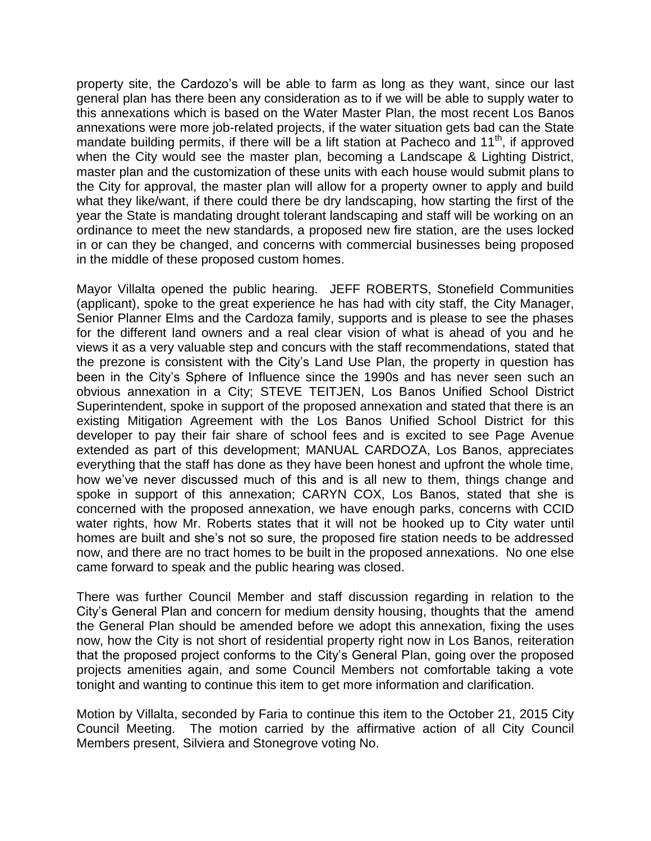property site, the Cardozo's will be able to farm as long as they want, since our last general plan has there been any consideration as to if we will be able to supply water to this annexations which is based on the Water Master Plan, the most recent Los Banos annexations were more job-related projects, if the water situation gets bad can the State mandate building permits, if there will be a lift station at Pacheco and  $11<sup>th</sup>$ , if approved when the City would see the master plan, becoming a Landscape & Lighting District, master plan and the customization of these units with each house would submit plans to the City for approval, the master plan will allow for a property owner to apply and build what they like/want, if there could there be dry landscaping, how starting the first of the year the State is mandating drought tolerant landscaping and staff will be working on an ordinance to meet the new standards, a proposed new fire station, are the uses locked in or can they be changed, and concerns with commercial businesses being proposed in the middle of these proposed custom homes.

Mayor Villalta opened the public hearing. JEFF ROBERTS, Stonefield Communities (applicant), spoke to the great experience he has had with city staff, the City Manager, Senior Planner Elms and the Cardoza family, supports and is please to see the phases for the different land owners and a real clear vision of what is ahead of you and he views it as a very valuable step and concurs with the staff recommendations, stated that the prezone is consistent with the City's Land Use Plan, the property in question has been in the City's Sphere of Influence since the 1990s and has never seen such an obvious annexation in a City; STEVE TEITJEN, Los Banos Unified School District Superintendent, spoke in support of the proposed annexation and stated that there is an existing Mitigation Agreement with the Los Banos Unified School District for this developer to pay their fair share of school fees and is excited to see Page Avenue extended as part of this development; MANUAL CARDOZA, Los Banos, appreciates everything that the staff has done as they have been honest and upfront the whole time, how we've never discussed much of this and is all new to them, things change and spoke in support of this annexation; CARYN COX, Los Banos, stated that she is concerned with the proposed annexation, we have enough parks, concerns with CCID water rights, how Mr. Roberts states that it will not be hooked up to City water until homes are built and she's not so sure, the proposed fire station needs to be addressed now, and there are no tract homes to be built in the proposed annexations. No one else came forward to speak and the public hearing was closed.

There was further Council Member and staff discussion regarding in relation to the City's General Plan and concern for medium density housing, thoughts that the amend the General Plan should be amended before we adopt this annexation, fixing the uses now, how the City is not short of residential property right now in Los Banos, reiteration that the proposed project conforms to the City's General Plan, going over the proposed projects amenities again, and some Council Members not comfortable taking a vote tonight and wanting to continue this item to get more information and clarification.

Motion by Villalta, seconded by Faria to continue this item to the October 21, 2015 City Council Meeting. The motion carried by the affirmative action of all City Council Members present, Silviera and Stonegrove voting No.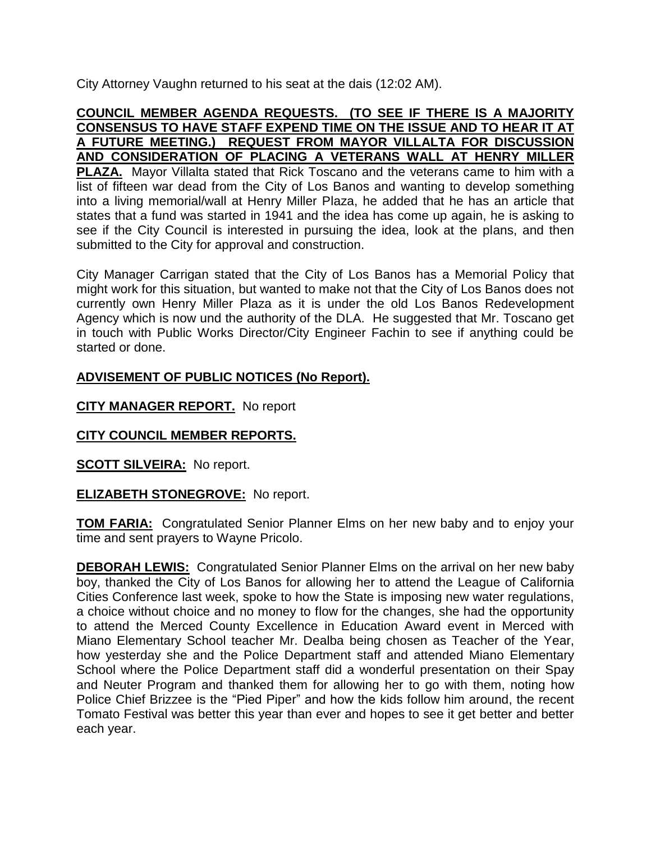City Attorney Vaughn returned to his seat at the dais (12:02 AM).

### **COUNCIL MEMBER AGENDA REQUESTS. (TO SEE IF THERE IS A MAJORITY CONSENSUS TO HAVE STAFF EXPEND TIME ON THE ISSUE AND TO HEAR IT AT A FUTURE MEETING.) REQUEST FROM MAYOR VILLALTA FOR DISCUSSION AND CONSIDERATION OF PLACING A VETERANS WALL AT HENRY MILLER PLAZA.** Mayor Villalta stated that Rick Toscano and the veterans came to him with a list of fifteen war dead from the City of Los Banos and wanting to develop something into a living memorial/wall at Henry Miller Plaza, he added that he has an article that states that a fund was started in 1941 and the idea has come up again, he is asking to see if the City Council is interested in pursuing the idea, look at the plans, and then submitted to the City for approval and construction.

City Manager Carrigan stated that the City of Los Banos has a Memorial Policy that might work for this situation, but wanted to make not that the City of Los Banos does not currently own Henry Miller Plaza as it is under the old Los Banos Redevelopment Agency which is now und the authority of the DLA. He suggested that Mr. Toscano get in touch with Public Works Director/City Engineer Fachin to see if anything could be started or done.

# **ADVISEMENT OF PUBLIC NOTICES (No Report).**

**CITY MANAGER REPORT.** No report

# **CITY COUNCIL MEMBER REPORTS.**

**SCOTT SILVEIRA:** No report.

# **ELIZABETH STONEGROVE:** No report.

**TOM FARIA:** Congratulated Senior Planner Elms on her new baby and to enjoy your time and sent prayers to Wayne Pricolo.

**DEBORAH LEWIS:** Congratulated Senior Planner Elms on the arrival on her new baby boy, thanked the City of Los Banos for allowing her to attend the League of California Cities Conference last week, spoke to how the State is imposing new water regulations, a choice without choice and no money to flow for the changes, she had the opportunity to attend the Merced County Excellence in Education Award event in Merced with Miano Elementary School teacher Mr. Dealba being chosen as Teacher of the Year, how yesterday she and the Police Department staff and attended Miano Elementary School where the Police Department staff did a wonderful presentation on their Spay and Neuter Program and thanked them for allowing her to go with them, noting how Police Chief Brizzee is the "Pied Piper" and how the kids follow him around, the recent Tomato Festival was better this year than ever and hopes to see it get better and better each year.